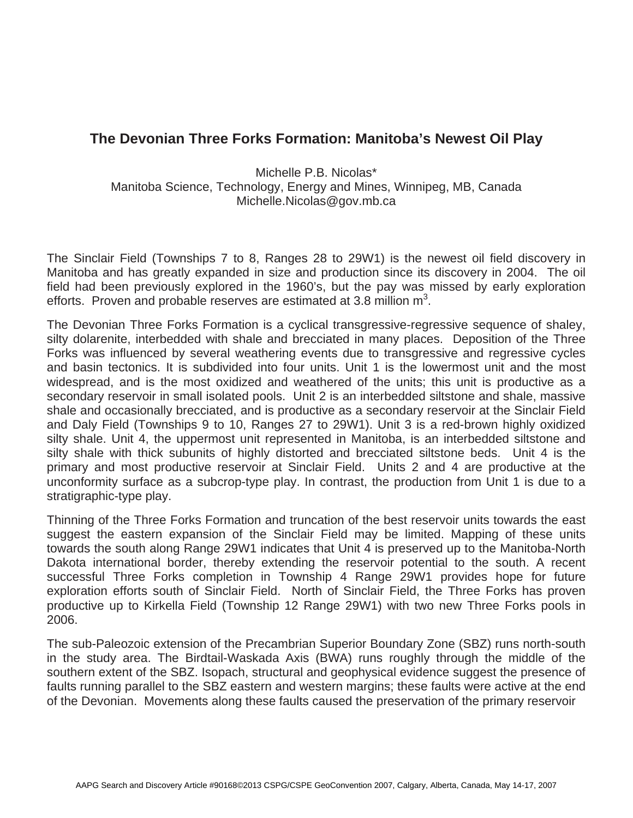## **The Devonian Three Forks Formation: Manitoba's Newest Oil Play**

Michelle P.B. Nicolas\* Manitoba Science, Technology, Energy and Mines, Winnipeg, MB, Canada Michelle.Nicolas@gov.mb.ca

The Sinclair Field (Townships 7 to 8, Ranges 28 to 29W1) is the newest oil field discovery in Manitoba and has greatly expanded in size and production since its discovery in 2004. The oil field had been previously explored in the 1960's, but the pay was missed by early exploration efforts. Proven and probable reserves are estimated at 3.8 million  $m^3$ .

The Devonian Three Forks Formation is a cyclical transgressive-regressive sequence of shaley, silty dolarenite, interbedded with shale and brecciated in many places. Deposition of the Three Forks was influenced by several weathering events due to transgressive and regressive cycles and basin tectonics. It is subdivided into four units. Unit 1 is the lowermost unit and the most widespread, and is the most oxidized and weathered of the units; this unit is productive as a secondary reservoir in small isolated pools. Unit 2 is an interbedded siltstone and shale, massive shale and occasionally brecciated, and is productive as a secondary reservoir at the Sinclair Field and Daly Field (Townships 9 to 10, Ranges 27 to 29W1). Unit 3 is a red-brown highly oxidized silty shale. Unit 4, the uppermost unit represented in Manitoba, is an interbedded siltstone and silty shale with thick subunits of highly distorted and brecciated siltstone beds. Unit 4 is the primary and most productive reservoir at Sinclair Field. Units 2 and 4 are productive at the unconformity surface as a subcrop-type play. In contrast, the production from Unit 1 is due to a stratigraphic-type play.

Thinning of the Three Forks Formation and truncation of the best reservoir units towards the east suggest the eastern expansion of the Sinclair Field may be limited. Mapping of these units towards the south along Range 29W1 indicates that Unit 4 is preserved up to the Manitoba-North Dakota international border, thereby extending the reservoir potential to the south. A recent successful Three Forks completion in Township 4 Range 29W1 provides hope for future exploration efforts south of Sinclair Field. North of Sinclair Field, the Three Forks has proven productive up to Kirkella Field (Township 12 Range 29W1) with two new Three Forks pools in 2006.

The sub-Paleozoic extension of the Precambrian Superior Boundary Zone (SBZ) runs north-south in the study area. The Birdtail-Waskada Axis (BWA) runs roughly through the middle of the southern extent of the SBZ. Isopach, structural and geophysical evidence suggest the presence of faults running parallel to the SBZ eastern and western margins; these faults were active at the end of the Devonian. Movements along these faults caused the preservation of the primary reservoir